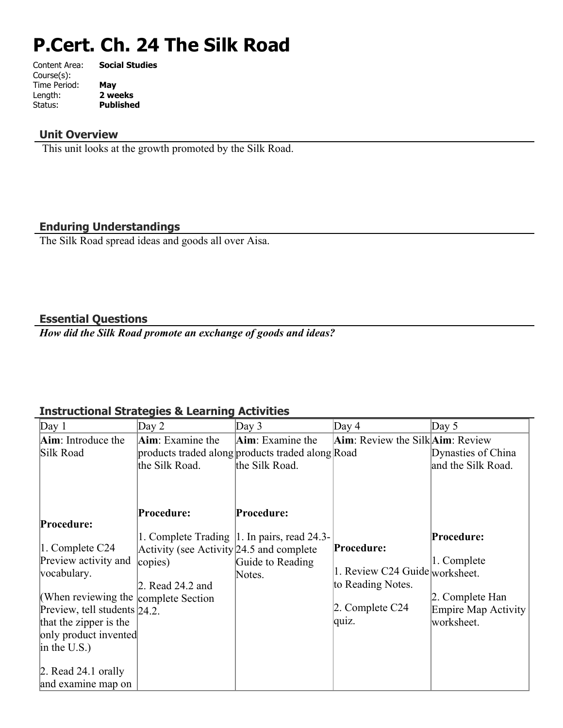## **P.Cert. Ch. 24 The Silk Road**

| Content Area: | <b>Social Studies</b> |
|---------------|-----------------------|
| Course(s):    |                       |
| Time Period:  | May                   |
| Length:       | 2 weeks               |
| Status:       | <b>Published</b>      |
|               |                       |

#### **Unit Overview**

This unit looks at the growth promoted by the Silk Road.

#### **Enduring Understandings**

The Silk Road spread ideas and goods all over Aisa.

#### **Essential Questions**

*How did the Silk Road promote an exchange of goods and ideas?*

#### **Instructional Strategies & Learning Activities**

| Day $1$                              | Day 2                                      | Day $3$                                          | Day $4$                                              | Day $5$                    |
|--------------------------------------|--------------------------------------------|--------------------------------------------------|------------------------------------------------------|----------------------------|
| Aim: Introduce the                   | Aim: Examine the                           | <b>Aim</b> : Examine the                         | $\text{Aim}$ : Review the Silk $\text{Aim}$ : Review |                            |
| Silk Road                            |                                            | products traded along products traded along Road |                                                      | Dynasties of China         |
|                                      | the Silk Road.                             | the Silk Road.                                   |                                                      | and the Silk Road.         |
|                                      |                                            |                                                  |                                                      |                            |
|                                      |                                            |                                                  |                                                      |                            |
|                                      | Procedure:                                 | Procedure:                                       |                                                      |                            |
| Procedure:                           |                                            |                                                  |                                                      |                            |
|                                      |                                            | 1. Complete Trading   1. In pairs, read 24.3-    |                                                      | Procedure:                 |
| 1. Complete C24                      | Activity (see Activity $24.5$ and complete |                                                  | Procedure:                                           |                            |
| Preview activity and                 | copies)                                    | Guide to Reading                                 |                                                      | 1. Complete                |
| vocabulary.                          |                                            | Notes.                                           | 1. Review C24 Guide worksheet.                       |                            |
|                                      | 2. Read 24.2 and                           |                                                  | to Reading Notes.                                    |                            |
| (When reviewing the complete Section |                                            |                                                  |                                                      | 2. Complete Han            |
| Preview, tell students $24.2$ .      |                                            |                                                  | 2. Complete C24                                      | <b>Empire Map Activity</b> |
| that the zipper is the               |                                            |                                                  | quiz.                                                | worksheet.                 |
| only product invented                |                                            |                                                  |                                                      |                            |
| in the U.S.)                         |                                            |                                                  |                                                      |                            |
| $\vert$ 2. Read 24.1 orally          |                                            |                                                  |                                                      |                            |
| and examine map on                   |                                            |                                                  |                                                      |                            |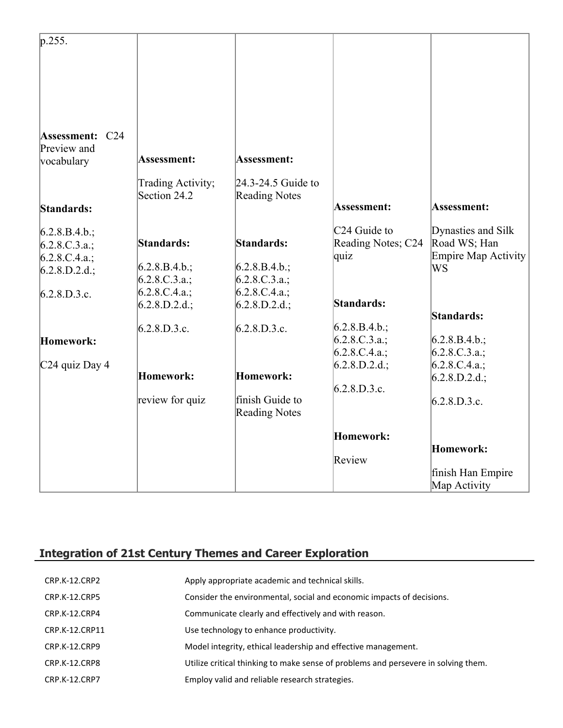| p.255.                                              |                                   |                                            |                    |                            |
|-----------------------------------------------------|-----------------------------------|--------------------------------------------|--------------------|----------------------------|
| <b>Assessment: C24</b><br>Preview and<br>vocabulary | Assessment:                       | Assessment:                                |                    |                            |
| Standards:                                          | Trading Activity;<br>Section 24.2 | 24.3-24.5 Guide to<br><b>Reading Notes</b> | Assessment:        | Assessment:                |
|                                                     |                                   |                                            | $C24$ Guide to     | Dynasties and Silk         |
| $6.2.8.B.4.b.$ ;                                    | Standards:                        | Standards:                                 | Reading Notes; C24 | Road WS; Han               |
| 6.2.8.C.3.a.;                                       |                                   |                                            | quiz               | <b>Empire Map Activity</b> |
| 6.2.8.C.4.a.;                                       | $6.2.8.B.4.b.$ ;                  | $6.2.8.B.4.b.$ ;                           |                    | WS                         |
| $6.2.8.D.2.d.$ ;                                    | $6.2.8.C.3.a.$ ;                  | $6.2.8.C.3.a.$ ;                           |                    |                            |
| 6.2.8.D.3.c.                                        | 6.2.8.C.4.a.;                     | 6.2.8.C.4.a.;                              |                    |                            |
|                                                     | 6.2.8.D.2.d.;                     | $6.2.8.D.2.d.$ ;                           | Standards:         |                            |
|                                                     |                                   |                                            |                    | Standards:                 |
|                                                     | 6.2.8.D.3.c.                      | 6.2.8.D.3.c.                               | $6.2.8.B.4.b.$ ;   |                            |
| Homework:                                           |                                   |                                            | $6.2.8.C.3.a.$ ;   | $6.2.8.B.4.b.$ ;           |
|                                                     |                                   |                                            | 6.2.8.C.4.a.;      | 6.2.8.C.3.a.;              |
| C <sub>24</sub> quiz Day 4                          |                                   |                                            | $6.2.8.D.2.d.$ ;   | 6.2.8.C.4.a.;              |
|                                                     | Homework:                         | Homework:                                  |                    | $6.2.8.D.2.d.$ ;           |
|                                                     |                                   |                                            | 6.2.8.D.3.c.       |                            |
|                                                     | review for quiz                   | finish Guide to<br><b>Reading Notes</b>    |                    | 6.2.8.D.3.c.               |
|                                                     |                                   |                                            | Homework:          |                            |
|                                                     |                                   |                                            | Review             | Homework:                  |
|                                                     |                                   |                                            |                    | finish Han Empire          |
|                                                     |                                   |                                            |                    | Map Activity               |

### **Integration of 21st Century Themes and Career Exploration**

| CRP.K-12.CRP2        | Apply appropriate academic and technical skills.                                   |
|----------------------|------------------------------------------------------------------------------------|
| CRP.K-12.CRP5        | Consider the environmental, social and economic impacts of decisions.              |
| CRP.K-12.CRP4        | Communicate clearly and effectively and with reason.                               |
| CRP.K-12.CRP11       | Use technology to enhance productivity.                                            |
| CRP.K-12.CRP9        | Model integrity, ethical leadership and effective management.                      |
| CRP.K-12.CRP8        | Utilize critical thinking to make sense of problems and persevere in solving them. |
| <b>CRP.K-12.CRP7</b> | Employ valid and reliable research strategies.                                     |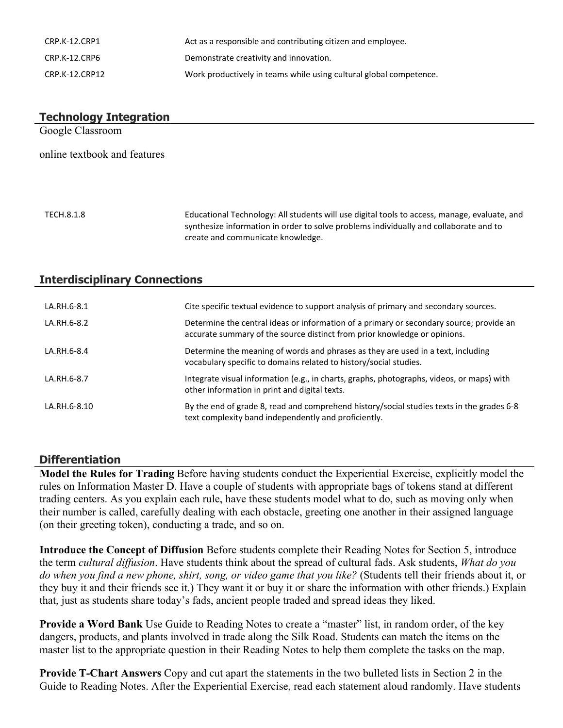| CRP.K-12.CRP1  | Act as a responsible and contributing citizen and employee.        |
|----------------|--------------------------------------------------------------------|
| CRP.K-12.CRP6  | Demonstrate creativity and innovation.                             |
| CRP.K-12.CRP12 | Work productively in teams while using cultural global competence. |

# **Technology Integration** Google Classroom online textbook and features TECH.8.1.8 Educational Technology: All students will use digital tools to access, manage, evaluate, and

synthesize information in order to solve problems individually and collaborate and to create and communicate knowledge.

#### **Interdisciplinary Connections**

| LA.RH.6-8.1  | Cite specific textual evidence to support analysis of primary and secondary sources.                                                                                 |
|--------------|----------------------------------------------------------------------------------------------------------------------------------------------------------------------|
| LA.RH.6-8.2  | Determine the central ideas or information of a primary or secondary source; provide an<br>accurate summary of the source distinct from prior knowledge or opinions. |
| LA.RH.6-8.4  | Determine the meaning of words and phrases as they are used in a text, including<br>vocabulary specific to domains related to history/social studies.                |
| LA.RH.6-8.7  | Integrate visual information (e.g., in charts, graphs, photographs, videos, or maps) with<br>other information in print and digital texts.                           |
| LA.RH.6-8.10 | By the end of grade 8, read and comprehend history/social studies texts in the grades 6-8<br>text complexity band independently and proficiently.                    |

#### **Differentiation**

**Model the Rules for Trading** Before having students conduct the Experiential Exercise, explicitly model the rules on Information Master D. Have a couple of students with appropriate bags of tokens stand at different trading centers. As you explain each rule, have these students model what to do, such as moving only when their number is called, carefully dealing with each obstacle, greeting one another in their assigned language (on their greeting token), conducting a trade, and so on.

**Introduce the Concept of Diffusion** Before students complete their Reading Notes for Section 5, introduce the term *cultural diffusion*. Have students think about the spread of cultural fads. Ask students, *What do you do when you find a new phone, shirt, song, or video game that you like?* (Students tell their friends about it, or they buy it and their friends see it.) They want it or buy it or share the information with other friends.) Explain that, just as students share today's fads, ancient people traded and spread ideas they liked.

**Provide a Word Bank** Use Guide to Reading Notes to create a "master" list, in random order, of the key dangers, products, and plants involved in trade along the Silk Road. Students can match the items on the master list to the appropriate question in their Reading Notes to help them complete the tasks on the map.

**Provide T-Chart Answers** Copy and cut apart the statements in the two bulleted lists in Section 2 in the Guide to Reading Notes. After the Experiential Exercise, read each statement aloud randomly. Have students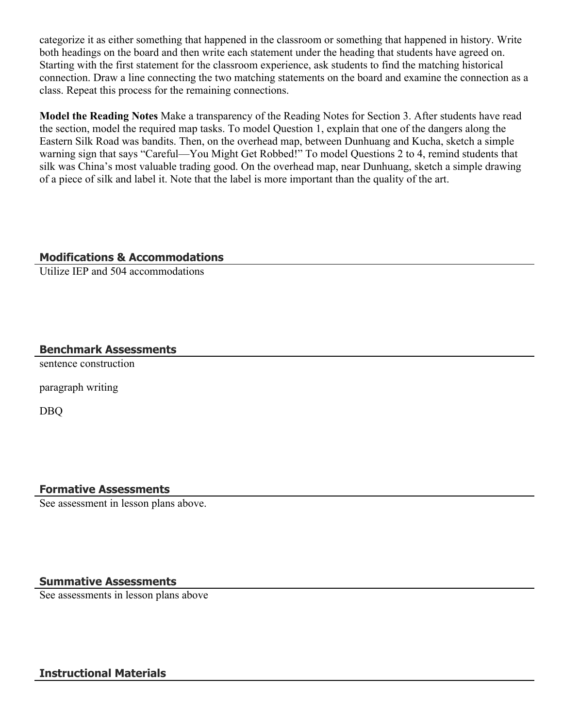categorize it as either something that happened in the classroom or something that happened in history. Write both headings on the board and then write each statement under the heading that students have agreed on. Starting with the first statement for the classroom experience, ask students to find the matching historical connection. Draw a line connecting the two matching statements on the board and examine the connection as a class. Repeat this process for the remaining connections.

**Model the Reading Notes** Make a transparency of the Reading Notes for Section 3. After students have read the section, model the required map tasks. To model Question 1, explain that one of the dangers along the Eastern Silk Road was bandits. Then, on the overhead map, between Dunhuang and Kucha, sketch a simple warning sign that says "Careful—You Might Get Robbed!" To model Questions 2 to 4, remind students that silk was China's most valuable trading good. On the overhead map, near Dunhuang, sketch a simple drawing of a piece of silk and label it. Note that the label is more important than the quality of the art.

#### **Modifications & Accommodations**

Utilize IEP and 504 accommodations

#### **Benchmark Assessments**

sentence construction

paragraph writing

DBQ

#### **Formative Assessments**

See assessment in lesson plans above.

#### **Summative Assessments**

See assessments in lesson plans above

#### **Instructional Materials**